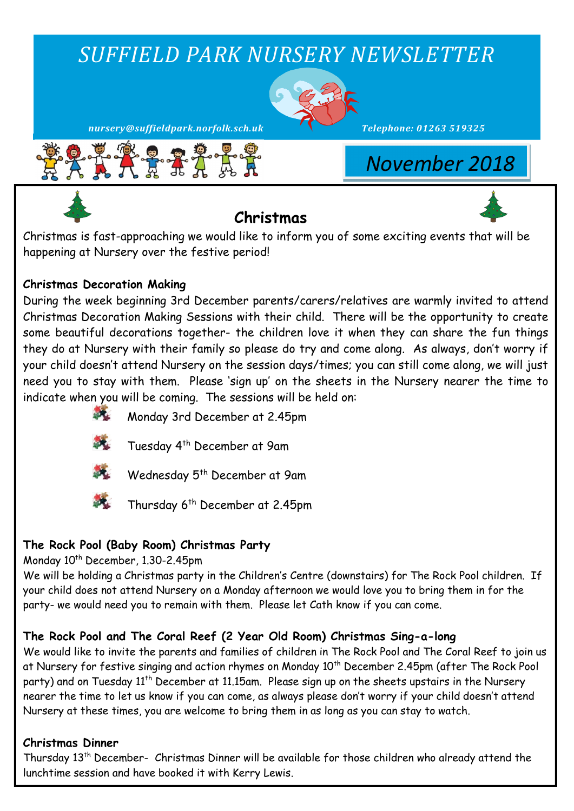# *SUFFIELD PARK NURSERY NEWSLETTER*



*nursery@suffieldpark.norfolk.sch.uk Telephone: 01263 519325*



*November 2018*

# **Christmas**



Christmas is fast-approaching we would like to inform you of some exciting events that will be happening at Nursery over the festive period!

## **Christmas Decoration Making**

During the week beginning 3rd December parents/carers/relatives are warmly invited to attend Christmas Decoration Making Sessions with their child. There will be the opportunity to create some beautiful decorations together- the children love it when they can share the fun things they do at Nursery with their family so please do try and come along. As always, don't worry if your child doesn't attend Nursery on the session days/times; you can still come along, we will just need you to stay with them. Please 'sign up' on the sheets in the Nursery nearer the time to indicate when you will be coming. The sessions will be held on:



- Monday 3rd December at 2.45pm
- 
- Tuesday 4th December at 9am



- Wednesday 5<sup>th</sup> December at 9am
- 
- Thursday 6<sup>th</sup> December at 2.45pm

## **The Rock Pool (Baby Room) Christmas Party**

Monday 10<sup>th</sup> December, 1.30-2.45pm

We will be holding a Christmas party in the Children's Centre (downstairs) for The Rock Pool children. If your child does not attend Nursery on a Monday afternoon we would love you to bring them in for the party- we would need you to remain with them. Please let Cath know if you can come.

## **The Rock Pool and The Coral Reef (2 Year Old Room) Christmas Sing-a-long**

We would like to invite the parents and families of children in The Rock Pool and The Coral Reef to join us at Nursery for festive singing and action rhymes on Monday 10<sup>th</sup> December 2.45pm (after The Rock Pool party) and on Tuesday 11<sup>th</sup> December at 11.15am. Please sign up on the sheets upstairs in the Nursery nearer the time to let us know if you can come, as always please don't worry if your child doesn't attend Nursery at these times, you are welcome to bring them in as long as you can stay to watch.

## **Christmas Dinner**

Thursday 13th December- Christmas Dinner will be available for those children who already attend the lunchtime session and have booked it with Kerry Lewis.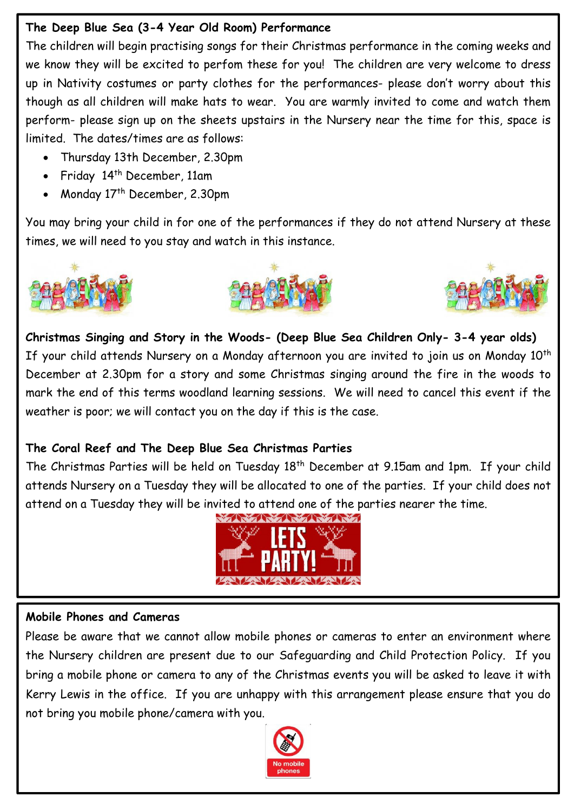## **The Deep Blue Sea (3-4 Year Old Room) Performance**

The children will begin practising songs for their Christmas performance in the coming weeks and we know they will be excited to perfom these for you! The children are very welcome to dress up in Nativity costumes or party clothes for the performances- please don't worry about this though as all children will make hats to wear. You are warmly invited to come and watch them perform- please sign up on the sheets upstairs in the Nursery near the time for this, space is limited. The dates/times are as follows:

- Thursday 13th December, 2.30pm
- Friday 14<sup>th</sup> December, 11am
- Monday 17<sup>th</sup> December, 2.30pm

You may bring your child in for one of the performances if they do not attend Nursery at these times, we will need to you stay and watch in this instance.







**Christmas Singing and Story in the Woods- (Deep Blue Sea Children Only- 3-4 year olds)**  If your child attends Nursery on a Monday afternoon you are invited to join us on Monday 10<sup>th</sup> December at 2.30pm for a story and some Christmas singing around the fire in the woods to mark the end of this terms woodland learning sessions. We will need to cancel this event if the weather is poor; we will contact you on the day if this is the case.

## **The Coral Reef and The Deep Blue Sea Christmas Parties**

The Christmas Parties will be held on Tuesday 18<sup>th</sup> December at 9.15am and 1pm. If your child attends Nursery on a Tuesday they will be allocated to one of the parties. If your child does not attend on a Tuesday they will be invited to attend one of the parties nearer the time.



## **Mobile Phones and Cameras**

Please be aware that we cannot allow mobile phones or cameras to enter an environment where the Nursery children are present due to our Safeguarding and Child Protection Policy. If you bring a mobile phone or camera to any of the Christmas events you will be asked to leave it with Kerry Lewis in the office. If you are unhappy with this arrangement please ensure that you do not bring you mobile phone/camera with you.

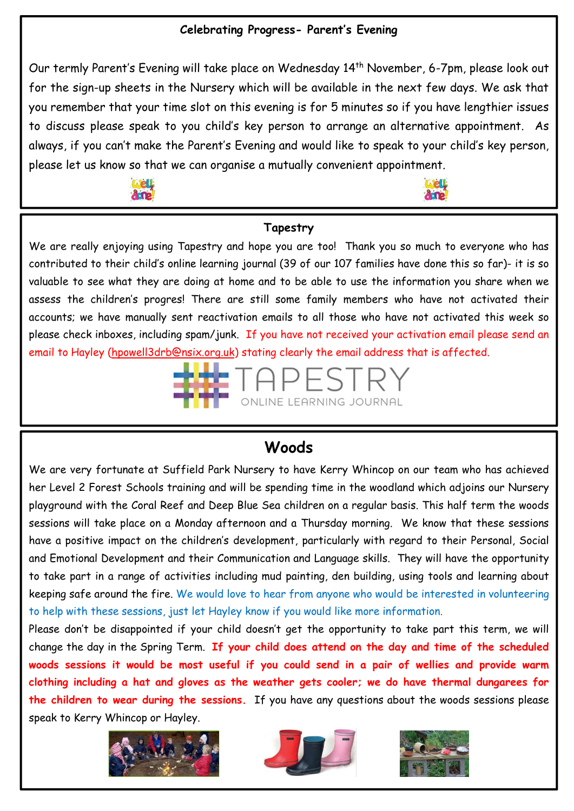#### **Celebrating Progress- Parent's Evening**

Our termly Parent's Evening will take place on Wednesday 14<sup>th</sup> November, 6-7pm, please look out for the sign-up sheets in the Nursery which will be available in the next few days. We ask that you remember that your time slot on this evening is for 5 minutes so if you have lengthier issues to discuss please speak to you child's key person to arrange an alternative appointment. As always, if you can't make the Parent's Evening and would like to speak to your child's key person, please let us know so that we can organise a mutually convenient appointment.





## **Tapestry**

We are really enjoying using Tapestry and hope you are too! Thank you so much to everyone who has contributed to their child's online learning journal (39 of our 107 families have done this so far)- it is so valuable to see what they are doing at home and to be able to use the information you share when we assess the children's progres! There are still some family members who have not activated their accounts; we have manually sent reactivation emails to all those who have not activated this week so please check inboxes, including spam/junk. If you have not received your activation email please send an email to Hayley [\(hpowell3drb@nsix.org.uk\)](mailto:hpowell3drb@nsix.org.uk) stating clearly the email address that is affected.



## **Woods**

We are very fortunate at Suffield Park Nursery to have Kerry Whincop on our team who has achieved her Level 2 Forest Schools training and will be spending time in the woodland which adjoins our Nursery playground with the Coral Reef and Deep Blue Sea children on a regular basis. This half term the woods sessions will take place on a Monday afternoon and a Thursday morning. We know that these sessions have a positive impact on the children's development, particularly with regard to their Personal, Social and Emotional Development and their Communication and Language skills. They will have the opportunity to take part in a range of activities including mud painting, den building, using tools and learning about keeping safe around the fire. We would love to hear from anyone who would be interested in volunteering to help with these sessions, just let Hayley know if you would like more information.

Please don't be disappointed if your child doesn't get the opportunity to take part this term, we will change the day in the Spring Term. **If your child does attend on the day and time of the scheduled woods sessions it would be most useful if you could send in a pair of wellies and provide warm clothing including a hat and gloves as the weather gets cooler; we do have thermal dungarees for the children to wear during the sessions.** If you have any questions about the woods sessions please speak to Kerry Whincop or Hayley.





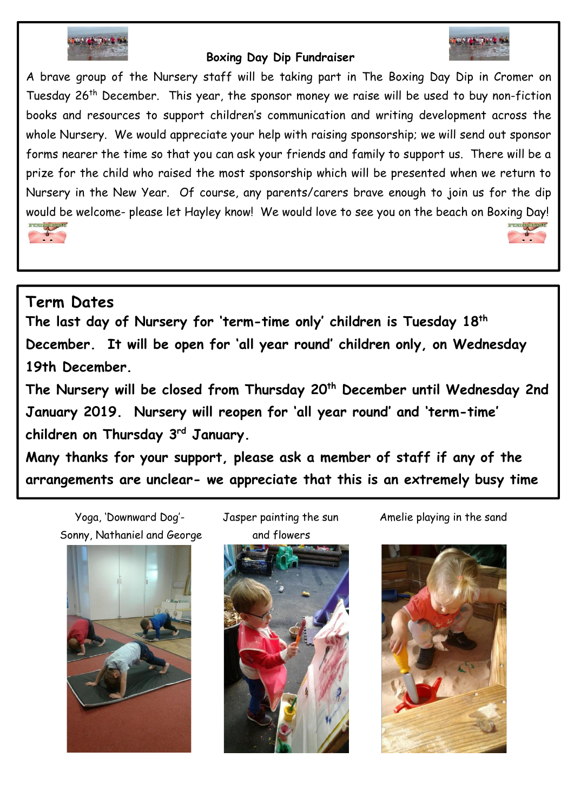

#### **Boxing Day Dip Fundraiser**



A brave group of the Nursery staff will be taking part in The Boxing Day Dip in Cromer on Tuesday 26th December. This year, the sponsor money we raise will be used to buy non-fiction books and resources to support children's communication and writing development across the whole Nursery. We would appreciate your help with raising sponsorship; we will send out sponsor forms nearer the time so that you can ask your friends and family to support us. There will be a prize for the child who raised the most sponsorship which will be presented when we return to Nursery in the New Year. Of course, any parents/carers brave enough to join us for the dip would be welcome- please let Hayley know! We would love to see you on the beach on Boxing Day!



## **Term Dates**

**The last day of Nursery for 'term-time only' children is Tuesday 18th December. It will be open for 'all year round' children only, on Wednesday 19th December.**

**The Nursery will be closed from Thursday 20th December until Wednesday 2nd January 2019. Nursery will reopen for 'all year round' and 'term-time' children on Thursday 3rd January.** 

**Many thanks for your support, please ask a member of staff if any of the arrangements are unclear- we appreciate that this is an extremely busy time** 

Yoga, 'Downward Dog'- Jasper painting the sun Amelie playing in the sand Sonny, Nathaniel and George and flowers